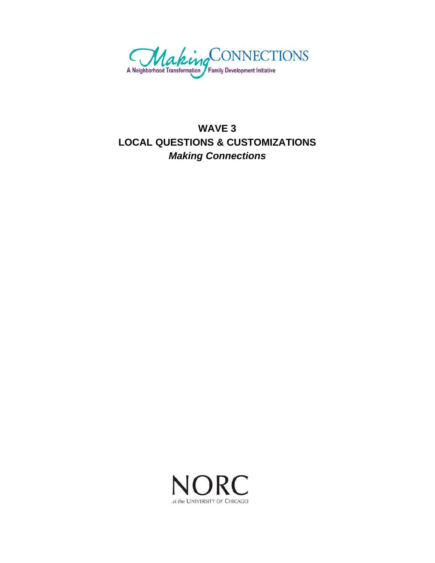

# **WAVE 3 LOCAL QUESTIONS & CUSTOMIZATIONS**  *Making Connections*

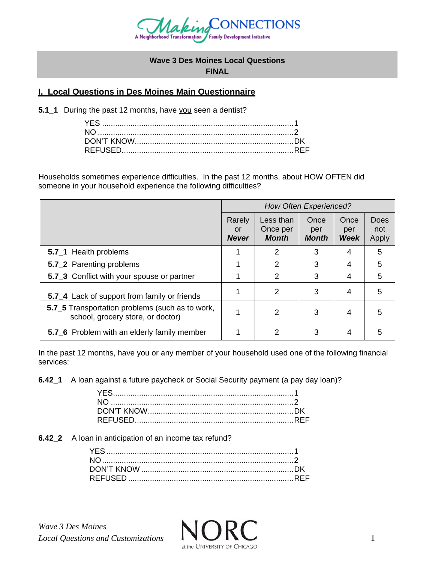

#### **Wave 3 Des Moines Local Questions FINAL**

# **I. Local Questions in Des Moines Main Questionnaire**

**5.1\_1** During the past 12 months, have you seen a dentist?

Households sometimes experience difficulties. In the past 12 months, about HOW OFTEN did someone in your household experience the following difficulties?

|                                                                                      | <b>How Often Experienced?</b> |                                       |                             |                     |                      |
|--------------------------------------------------------------------------------------|-------------------------------|---------------------------------------|-----------------------------|---------------------|----------------------|
|                                                                                      | Rarely<br>or<br><b>Never</b>  | Less than<br>Once per<br><b>Month</b> | Once<br>per<br><b>Month</b> | Once<br>per<br>Week | Does<br>not<br>Apply |
| 5.7 <sub>1</sub> Health problems                                                     |                               | 2                                     | 3                           | 4                   | 5                    |
| 5.7 <sub>2</sub> Parenting problems                                                  |                               | 2                                     | 3                           | 4                   | 5                    |
| 5.7 <sub>-3</sub> Conflict with your spouse or partner                               |                               | 2                                     | 3                           | 4                   | 5                    |
| 5.7_4 Lack of support from family or friends                                         |                               | 2                                     | 3                           | 4                   | 5                    |
| 5.7_5 Transportation problems (such as to work,<br>school, grocery store, or doctor) |                               | 2                                     | 3                           | 4                   | 5                    |
| 5.7 <sub>6</sub> Problem with an elderly family member                               |                               | 2                                     | 3                           | 4                   | 5                    |

In the past 12 months, have you or any member of your household used one of the following financial services:

**6.42\_1** A loan against a future paycheck or Social Security payment (a pay day loan)?

**6.42\_2** A loan in anticipation of an income tax refund?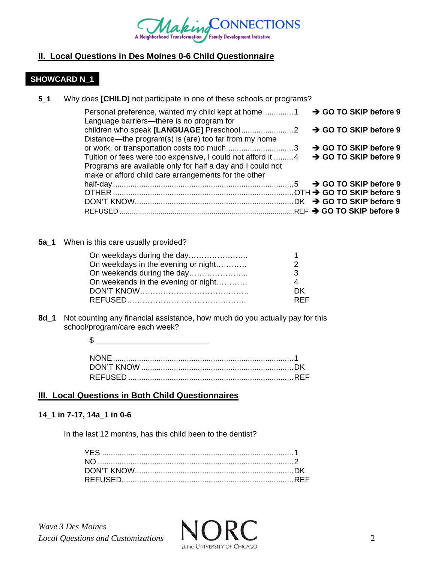

# **II. Local Questions in Des Moines 0-6 Child Questionnaire**

# **SHOWCARD N\_1**

 $5<sub>1</sub>$ Why does [CHILD] not participate in one of these schools or programs?

| Language barriers—there is no program for                   | → GO TO SKIP before 9             |
|-------------------------------------------------------------|-----------------------------------|
|                                                             | → GO TO SKIP before 9             |
| Distance—the program(s) is (are) too far from my home       |                                   |
| or work, or transportation costs too much3                  | $\rightarrow$ GO TO SKIP before 9 |
| Tuition or fees were too expensive, I could not afford it 4 | $\rightarrow$ GO TO SKIP before 9 |
| Programs are available only for half a day and I could not  |                                   |
| make or afford child care arrangements for the other        |                                   |
|                                                             |                                   |
|                                                             |                                   |
|                                                             |                                   |
|                                                             |                                   |

5a\_1 When is this care usually provided?

| On weekdays during the day          |            |
|-------------------------------------|------------|
| On weekdays in the evening or night |            |
| On weekends during the day          | -3         |
| On weekends in the evening or night |            |
|                                     | DK.        |
|                                     | <b>RFF</b> |

8d\_1 Not counting any financial assistance, how much do you actually pay for this school/program/care each week?

# **III. Local Questions in Both Child Questionnaires**

#### 14\_1 in 7-17, 14a\_1 in 0-6

In the last 12 months, has this child been to the dentist?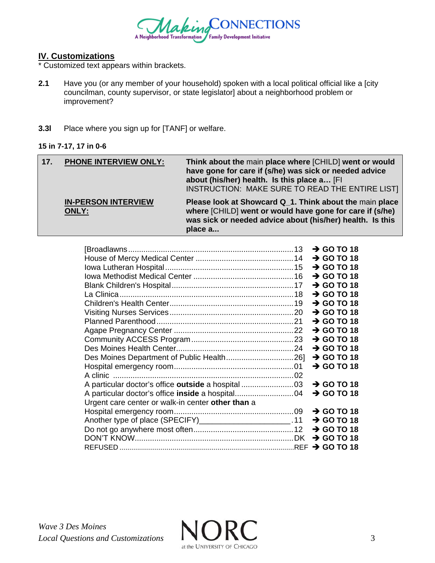

# **IV. Customizations**

\* Customized text appears within brackets.

- **2.1** Have you (or any member of your household) spoken with a local political official like a [city councilman, county supervisor, or state legislator] about a neighborhood problem or improvement?
- **3.3l** Place where you sign up for [TANF] or welfare.

#### **15 in 7-17, 17 in 0-6**

| 17. | <b>PHONE INTERVIEW ONLY:</b>        | Think about the main place where [CHILD] went or would<br>have gone for care if (s/he) was sick or needed advice<br>about (his/her) health. Is this place a [Fl<br>INSTRUCTION: MAKE SURE TO READ THE ENTIRE LIST] |
|-----|-------------------------------------|--------------------------------------------------------------------------------------------------------------------------------------------------------------------------------------------------------------------|
|     | <b>IN-PERSON INTERVIEW</b><br>ONLY: | Please look at Showcard Q_1. Think about the main place<br>where [CHILD] went or would have gone for care if (s/he)<br>was sick or needed advice about (his/her) health. Is this<br>place a                        |

|                                                            | $\rightarrow$ GO TO 18 |  |
|------------------------------------------------------------|------------------------|--|
|                                                            | $\rightarrow$ GO TO 18 |  |
|                                                            | $\rightarrow$ GO TO 18 |  |
|                                                            | $\rightarrow$ GO TO 18 |  |
|                                                            | $\rightarrow$ GO TO 18 |  |
|                                                            | $\rightarrow$ GO TO 18 |  |
|                                                            | $\rightarrow$ GO TO 18 |  |
|                                                            |                        |  |
|                                                            | $\rightarrow$ GO TO 18 |  |
|                                                            | $\rightarrow$ GO TO 18 |  |
|                                                            | $\rightarrow$ GO TO 18 |  |
|                                                            | $\rightarrow$ GO TO 18 |  |
|                                                            | $\rightarrow$ GO TO 18 |  |
|                                                            | $\rightarrow$ GO TO 18 |  |
|                                                            | $\rightarrow$ GO TO 18 |  |
|                                                            |                        |  |
|                                                            | $\rightarrow$ GO TO 18 |  |
|                                                            | $\rightarrow$ GO TO 18 |  |
| Urgent care center or walk-in center other than a          |                        |  |
|                                                            | $\rightarrow$ GO TO 18 |  |
|                                                            |                        |  |
| Another type of place (SPECIFY)________________________.11 | $\rightarrow$ GO TO 18 |  |
|                                                            | $\rightarrow$ GO TO 18 |  |
|                                                            |                        |  |
|                                                            |                        |  |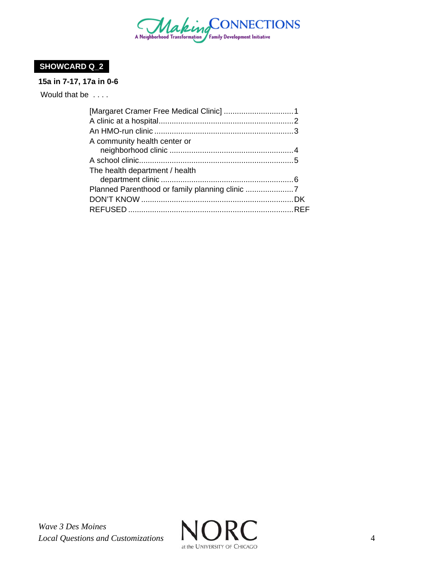

# **SHOWCARD Q\_2**

# **15a in 7-17, 17a in 0-6**

Would that be . . . .

| A community health center or   |  |
|--------------------------------|--|
|                                |  |
|                                |  |
| The health department / health |  |
|                                |  |
|                                |  |
|                                |  |
|                                |  |
|                                |  |

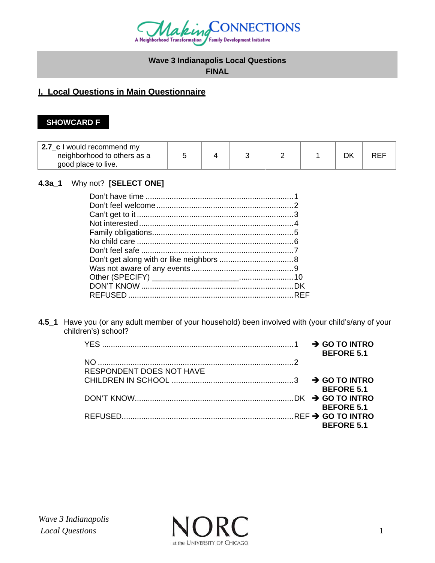

# **Wave 3 Indianapolis Local Questions**

# **FINAL**

# **I. Local Questions in Main Questionnaire**

# **SHOWCARD F**

| 2.7 c I would recommend my<br>neighborhood to others as a<br>good place to live. |  |  |  |  |  |  | <b>REF</b> |
|----------------------------------------------------------------------------------|--|--|--|--|--|--|------------|
|----------------------------------------------------------------------------------|--|--|--|--|--|--|------------|

# **4.3a\_1** Why not? **[SELECT ONE]**

**4.5\_1** Have you (or any adult member of your household) been involved with (your child's/any of your children's) school?

|                                 |  | <b>BEFORE 5.1</b> |
|---------------------------------|--|-------------------|
|                                 |  |                   |
| <b>RESPONDENT DOES NOT HAVE</b> |  |                   |
|                                 |  |                   |
|                                 |  | <b>BEFORE 5.1</b> |
|                                 |  |                   |
|                                 |  | <b>BEFORE 5.1</b> |
|                                 |  |                   |
|                                 |  | <b>BEFORE 5.1</b> |

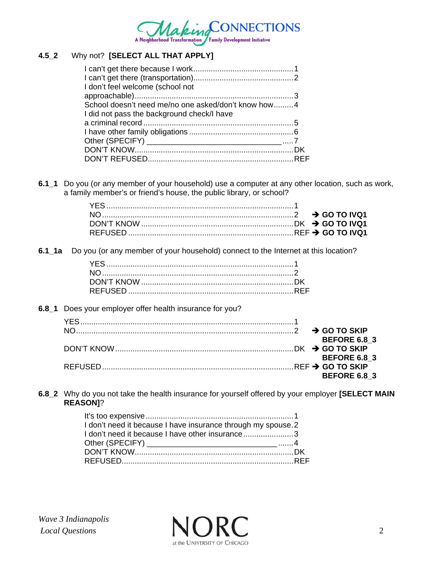

# **4.5\_2** Why not? **[SELECT ALL THAT APPLY]**

| I don't feel welcome (school not                    |  |
|-----------------------------------------------------|--|
|                                                     |  |
| School doesn't need me/no one asked/don't know how4 |  |
| I did not pass the background check/I have          |  |
|                                                     |  |
|                                                     |  |
|                                                     |  |
|                                                     |  |
|                                                     |  |

**6.1\_1** Do you (or any member of your household) use a computer at any other location, such as work, a family member's or friend's house, the public library, or school?

**6.1\_1a** Do you (or any member of your household) connect to the Internet at this location?

**6.8\_1** Does your employer offer health insurance for you?

|  | <b>BEFORE 6.8 3</b> |
|--|---------------------|
|  |                     |
|  | <b>BEFORE 6.8 3</b> |
|  |                     |
|  | <b>BEFORE 6.8 3</b> |

**6.8\_2** Why do you not take the health insurance for yourself offered by your employer **[SELECT MAIN REASON]**?

| I don't need it because I have insurance through my spouse.2 |  |
|--------------------------------------------------------------|--|
| I don't need it because I have other insurance3              |  |
|                                                              |  |
|                                                              |  |
|                                                              |  |
|                                                              |  |

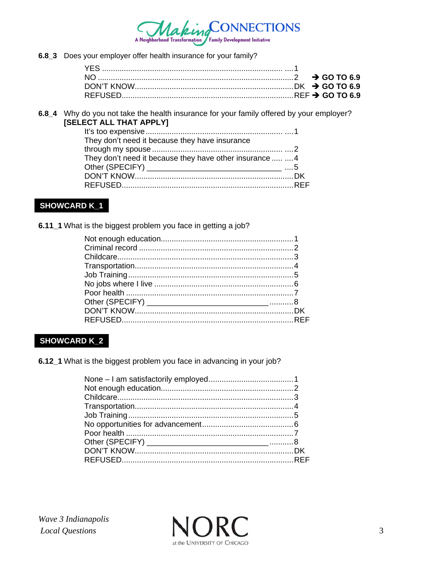

6.8\_3 Does your employer offer health insurance for your family?

6.8\_4 Why do you not take the health insurance for your family offered by your employer? [SELECT ALL THAT APPLY]

| They don't need it because they have insurance           |  |
|----------------------------------------------------------|--|
|                                                          |  |
| They don't need it because they have other insurance   4 |  |
|                                                          |  |
|                                                          |  |
|                                                          |  |

# **SHOWCARD K\_1**

6.11\_1 What is the biggest problem you face in getting a job?

# **SHOWCARD K\_2**

6.12\_1 What is the biggest problem you face in advancing in your job?

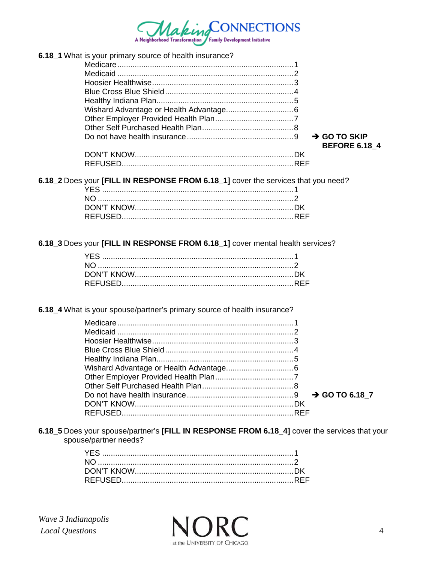

| 6.18_1 What is your primary source of health insurance? |                          |  |
|---------------------------------------------------------|--------------------------|--|
|                                                         |                          |  |
|                                                         |                          |  |
|                                                         |                          |  |
|                                                         |                          |  |
|                                                         |                          |  |
|                                                         |                          |  |
|                                                         |                          |  |
|                                                         |                          |  |
|                                                         | $\rightarrow$ GO TO SKIP |  |
|                                                         | <b>BEFORE 6.18 4</b>     |  |
|                                                         |                          |  |
|                                                         |                          |  |
|                                                         |                          |  |

6.18\_2 Does your [FILL IN RESPONSE FROM 6.18\_1] cover the services that you need?

6.18\_3 Does your [FILL IN RESPONSE FROM 6.18\_1] cover mental health services?

6.18\_4 What is your spouse/partner's primary source of health insurance?

| $\rightarrow$ GO TO 6.18 7 |
|----------------------------|
|                            |
|                            |
|                            |

6.18\_5 Does your spouse/partner's [FILL IN RESPONSE FROM 6.18\_4] cover the services that your spouse/partner needs?

Wave 3 Indianapolis **Local Questions** 

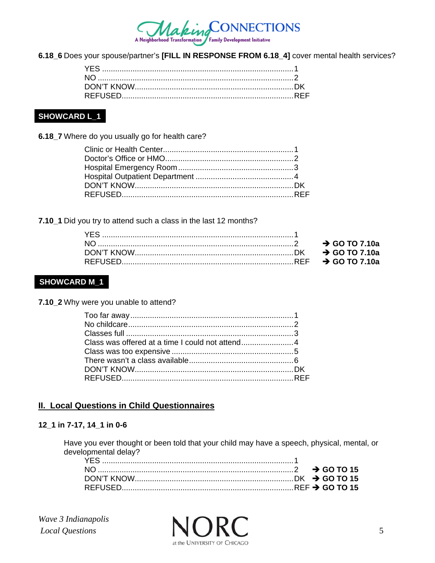

6.18\_6 Does your spouse/partner's [FILL IN RESPONSE FROM 6.18\_4] cover mental health services?

# **SHOWCARD L\_1**

6.18\_7 Where do you usually go for health care?

7.10\_1 Did you try to attend such a class in the last 12 months?

# **SHOWCARD M\_1**

7.10\_2 Why were you unable to attend?

# **II. Local Questions in Child Questionnaires**

#### 12\_1 in 7-17, 14\_1 in 0-6

Have you ever thought or been told that your child may have a speech, physical, mental, or developmental delay?

Wave 3 Indianapolis Local Questions

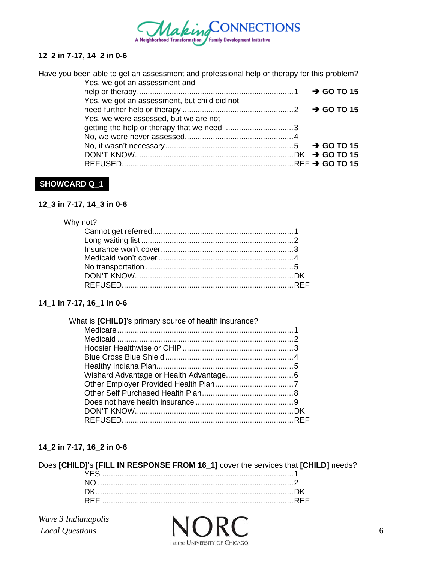

#### **12\_2 in 7-17, 14\_2 in 0-6**

Have you been able to get an assessment and professional help or therapy for this problem?

| Yes, we got an assessment and                |  |
|----------------------------------------------|--|
|                                              |  |
| Yes, we got an assessment, but child did not |  |
|                                              |  |
| Yes, we were assessed, but we are not        |  |
|                                              |  |
|                                              |  |
|                                              |  |
|                                              |  |
|                                              |  |

### **SHOWCARD Q\_1**

#### **12\_3 in 7-17, 14\_3 in 0-6**

### Why not?

### **14\_1 in 7-17, 16\_1 in 0-6**

#### **14\_2 in 7-17, 16\_2 in 0-6**

### Does **[CHILD]**'s **[FILL IN RESPONSE FROM 16\_1]** cover the services that **[CHILD]** needs?

*Wave 3 Indianapolis* 

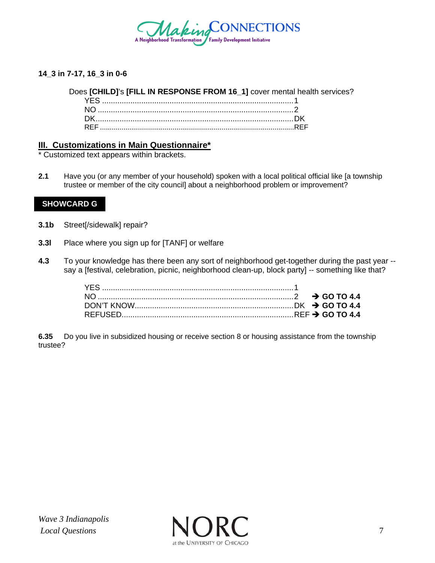

### **14\_3 in 7-17, 16\_3 in 0-6**

#### Does **[CHILD]**'s **[FILL IN RESPONSE FROM 16\_1]** cover mental health services?

#### **III. Customizations in Main Questionnaire\***

\* Customized text appears within brackets.

**2.1** Have you (or any member of your household) spoken with a local political official like [a township trustee or member of the city council] about a neighborhood problem or improvement?

#### **SHOWCARD G**

- **3.1b** Street[/sidewalk] repair?
- **3.3l** Place where you sign up for [TANF] or welfare
- **4.3** To your knowledge has there been any sort of neighborhood get-together during the past year say a [festival, celebration, picnic, neighborhood clean-up, block party] -- something like that?

**6.35** Do you live in subsidized housing or receive section 8 or housing assistance from the township trustee?

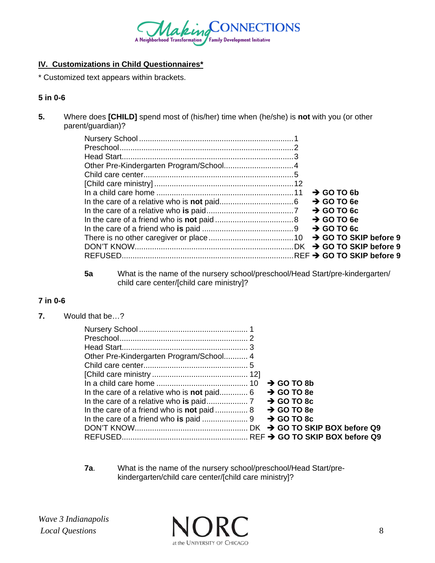

# **IV. Customizations in Child Questionnaires\***

\* Customized text appears within brackets.

### **5 in 0-6**

**5.** Where does **[CHILD]** spend most of (his/her) time when (he/she) is **not** with you (or other parent/guardian)?

|  | $\rightarrow$ GO TO 6b |  |  |
|--|------------------------|--|--|
|  | $\rightarrow$ GO TO 6e |  |  |
|  | $\rightarrow$ GO TO 6c |  |  |
|  | $\rightarrow$ GO TO 6e |  |  |
|  |                        |  |  |
|  |                        |  |  |
|  |                        |  |  |
|  |                        |  |  |

**5a** What is the name of the nursery school/preschool/Head Start/pre-kindergarten/ child care center/[child care ministry]?

# **7 in 0-6**

**7.** Would that be…?

|                                                    |  | $\rightarrow$ GO TO 8b |  |  |  |
|----------------------------------------------------|--|------------------------|--|--|--|
| In the care of a relative who is <b>not</b> paid 6 |  | $\rightarrow$ GO TO 8e |  |  |  |
|                                                    |  |                        |  |  |  |
|                                                    |  |                        |  |  |  |
|                                                    |  | $\rightarrow$ GO TO 8c |  |  |  |
|                                                    |  |                        |  |  |  |
|                                                    |  |                        |  |  |  |

**7a**. What is the name of the nursery school/preschool/Head Start/prekindergarten/child care center/[child care ministry]?

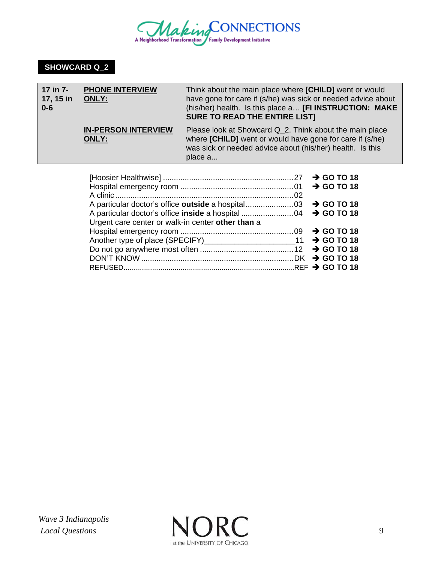

# **SHOWCARD Q\_2**

| 17 in 7-<br>17, 15 in<br>$0 - 6$ | <b>PHONE INTERVIEW</b><br><b>ONLY:</b>     | Think about the main place where [CHILD] went or would<br>have gone for care if (s/he) was sick or needed advice about<br>(his/her) health. Is this place a [FI INSTRUCTION: MAKE<br><b>SURE TO READ THE ENTIRE LIST]</b> |
|----------------------------------|--------------------------------------------|---------------------------------------------------------------------------------------------------------------------------------------------------------------------------------------------------------------------------|
|                                  | <b>IN-PERSON INTERVIEW</b><br><b>ONLY:</b> | Please look at Showcard Q_2. Think about the main place<br>where [CHILD] went or would have gone for care if (s/he)<br>was sick or needed advice about (his/her) health. Is this<br>place a                               |
|                                  | .                                          |                                                                                                                                                                                                                           |

| Urgent care center or walk-in center other than a |  |  |
|---------------------------------------------------|--|--|
|                                                   |  |  |
|                                                   |  |  |
|                                                   |  |  |
|                                                   |  |  |
|                                                   |  |  |
|                                                   |  |  |

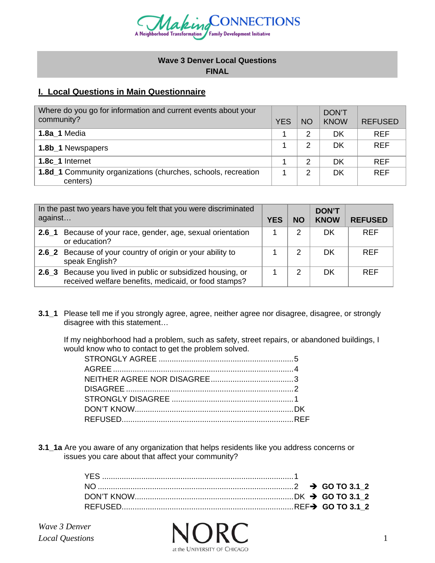

#### **Wave 3 Denver Local Questions FINAL**

# **I. Local Questions in Main Questionnaire**

| Where do you go for information and current events about your<br>community?      | <b>YES</b> | <b>NO</b> | <b>DON'T</b><br><b>KNOW</b> | <b>REFUSED</b> |
|----------------------------------------------------------------------------------|------------|-----------|-----------------------------|----------------|
| <b>1.8a 1 Media</b>                                                              |            | 2         | DK                          | <b>REF</b>     |
| 1.8b_1 Newspapers                                                                |            | 2         | DK                          | <b>REF</b>     |
| 1.8c 1 Internet                                                                  |            | 2         | DK                          | <b>REF</b>     |
| <b>1.8d_1</b> Community organizations (churches, schools, recreation<br>centers) |            | 2         | DK                          | <b>REF</b>     |

| against          | In the past two years have you felt that you were discriminated                                                            | <b>YES</b> | <b>NO</b> | <b>DON'T</b><br><b>KNOW</b> | <b>REFUSED</b> |
|------------------|----------------------------------------------------------------------------------------------------------------------------|------------|-----------|-----------------------------|----------------|
| 2.6 <sub>1</sub> | Because of your race, gender, age, sexual orientation<br>or education?                                                     |            |           | DK                          | <b>REF</b>     |
|                  | 2.6_2 Because of your country of origin or your ability to<br>speak English?                                               |            |           | DK                          | <b>RFF</b>     |
|                  | <b>2.6_3</b> Because you lived in public or subsidized housing, or<br>received welfare benefits, medicaid, or food stamps? |            |           | DK                          | <b>RFF</b>     |

**3.1\_1** Please tell me if you strongly agree, agree, neither agree nor disagree, disagree, or strongly disagree with this statement…

If my neighborhood had a problem, such as safety, street repairs, or abandoned buildings, I would know who to contact to get the problem solved.

**3.1\_1a** Are you aware of any organization that helps residents like you address concerns or issues you care about that affect your community?

*Wave 3 Denver* 

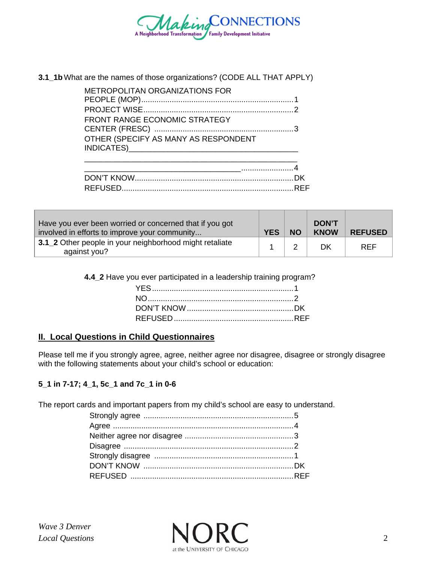

#### **3.1\_1b** What are the names of those organizations? (CODE ALL THAT APPLY)

| <b>METROPOLITAN ORGANIZATIONS FOR</b> |  |
|---------------------------------------|--|
|                                       |  |
| <b>FRONT RANGE ECONOMIC STRATEGY</b>  |  |
| OTHER (SPECIFY AS MANY AS RESPONDENT  |  |
|                                       |  |

| Have you ever been worried or concerned that if you got<br>involved in efforts to improve your community | <b>YES</b> | <b>NO</b> | <b>DON'T</b><br><b>KNOW</b> | <b>REFUSED</b> |
|----------------------------------------------------------------------------------------------------------|------------|-----------|-----------------------------|----------------|
| 3.1_2 Other people in your neighborhood might retaliate<br>against you?                                  |            | ⌒         | DK                          | <b>REF</b>     |

**4.4\_2** Have you ever participated in a leadership training program?

# **II. Local Questions in Child Questionnaires**

Please tell me if you strongly agree, agree, neither agree nor disagree, disagree or strongly disagree with the following statements about your child's school or education:

# **5\_1 in 7-17; 4\_1, 5c\_1 and 7c\_1 in 0-6**

The report cards and important papers from my child's school are easy to understand.

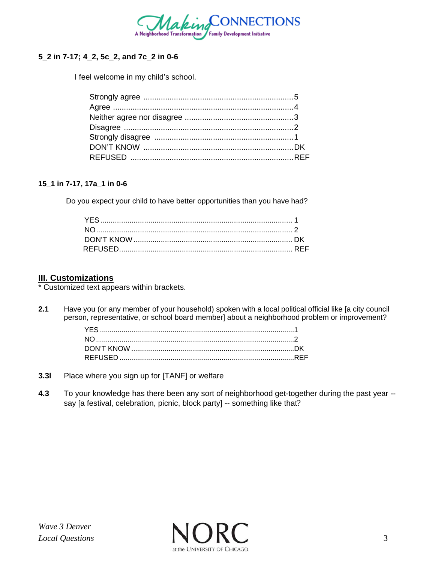

# **5\_2 in 7-17; 4\_2, 5c\_2, and 7c\_2 in 0-6**

I feel welcome in my child's school.

#### **15\_1 in 7-17, 17a\_1 in 0-6**

Do you expect your child to have better opportunities than you have had?

#### **III. Customizations**

\* Customized text appears within brackets.

**2.1** Have you (or any member of your household) spoken with a local political official like [a city council person, representative, or school board member] about a neighborhood problem or improvement?

- **3.3l** Place where you sign up for [TANF] or welfare
- **4.3** To your knowledge has there been any sort of neighborhood get-together during the past year say [a festival, celebration, picnic, block party] -- something like that?

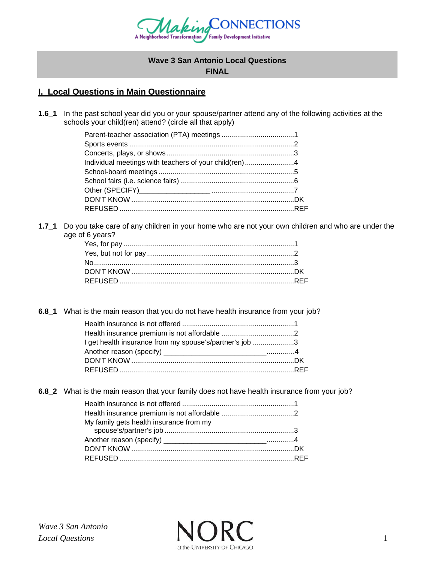

# **Wave 3 San Antonio Local Questions FINAL**

# **I. Local Questions in Main Questionnaire**

**1.6\_1** In the past school year did you or your spouse/partner attend any of the following activities at the schools your child(ren) attend? (circle all that apply)

| Individual meetings with teachers of your child(ren)4 |  |
|-------------------------------------------------------|--|
|                                                       |  |
|                                                       |  |
|                                                       |  |
|                                                       |  |
|                                                       |  |
|                                                       |  |

**1.7\_1** Do you take care of any children in your home who are not your own children and who are under the age of 6 years?

**6.8\_1** What is the main reason that you do not have health insurance from your job?

| I get health insurance from my spouse's/partner's job 3 |  |
|---------------------------------------------------------|--|
|                                                         |  |
|                                                         |  |
|                                                         |  |

**6.8\_2** What is the main reason that your family does not have health insurance from your job?

| My family gets health insurance from my |  |
|-----------------------------------------|--|
|                                         |  |
|                                         |  |
|                                         |  |
|                                         |  |
|                                         |  |

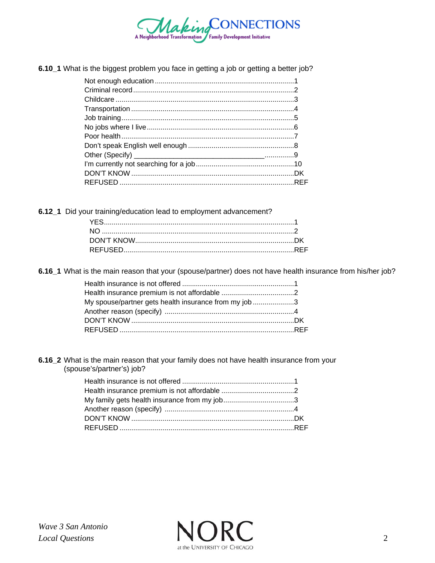

6.10\_1 What is the biggest problem you face in getting a job or getting a better job?

6.12\_1 Did your training/education lead to employment advancement?

6.16\_1 What is the main reason that your (spouse/partner) does not have health insurance from his/her job?

| My spouse/partner gets health insurance from my job 3 |  |
|-------------------------------------------------------|--|
|                                                       |  |
|                                                       |  |
|                                                       |  |

6.16\_2 What is the main reason that your family does not have health insurance from your (spouse's/partner's) job?

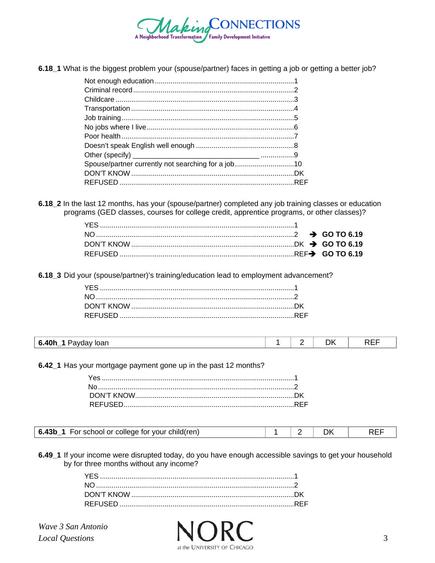

6.18\_1 What is the biggest problem your (spouse/partner) faces in getting a job or getting a better job?

| Spouse/partner currently not searching for a job10 |  |
|----------------------------------------------------|--|
|                                                    |  |
|                                                    |  |
|                                                    |  |

6.18\_2 In the last 12 months, has your (spouse/partner) completed any job training classes or education programs (GED classes, courses for college credit, apprentice programs, or other classes)?

6.18\_3 Did your (spouse/partner)'s training/education lead to employment advancement?

| - - -<br>-6<br>. 40I<br>۲۲<br>loan<br>avoav<br>1 N L I<br>_ |
|-------------------------------------------------------------|
|-------------------------------------------------------------|

6.42\_1 Has your mortgage payment gone up in the past 12 months?

| <b>6.43b_1</b> For school or college for your child(ren) |  |  |  |  |
|----------------------------------------------------------|--|--|--|--|
|----------------------------------------------------------|--|--|--|--|

6.49\_1 If your income were disrupted today, do you have enough accessible savings to get your household by for three months without any income?

Wave 3 San Antonio Local Questions

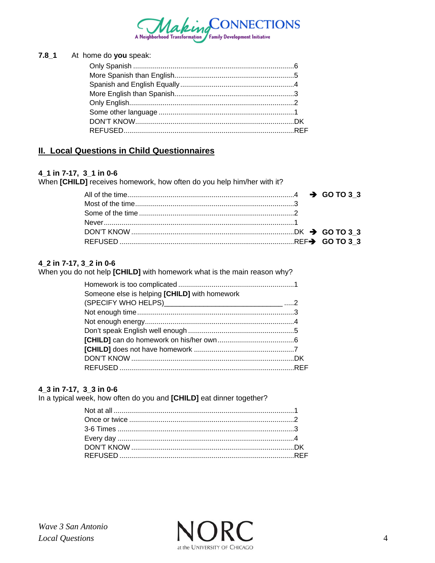

| 7.8_1 At home do you speak: |  |
|-----------------------------|--|
|                             |  |
|                             |  |
|                             |  |
|                             |  |
|                             |  |
|                             |  |
|                             |  |
|                             |  |

# **II. Local Questions in Child Questionnaires**

#### 4\_1 in 7-17, 3\_1 in 0-6

When [CHILD] receives homework, how often do you help him/her with it?

#### 4\_2 in 7-17, 3\_2 in 0-6

When you do not help [CHILD] with homework what is the main reason why?

| Someone else is helping [CHILD] with homework |  |
|-----------------------------------------------|--|
|                                               |  |
|                                               |  |
|                                               |  |
|                                               |  |
|                                               |  |
|                                               |  |
|                                               |  |
|                                               |  |

#### 4\_3 in 7-17, 3\_3 in 0-6

In a typical week, how often do you and [CHILD] eat dinner together?

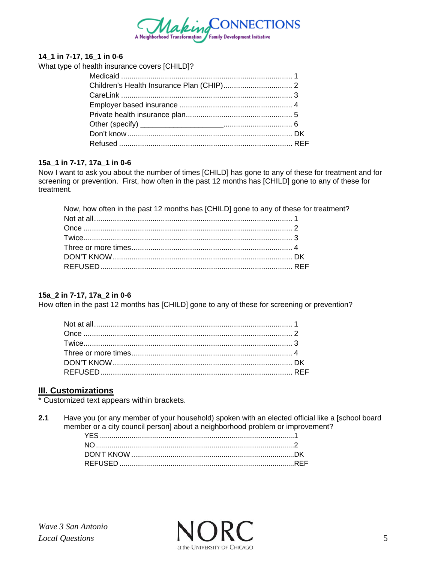

#### **14\_1 in 7-17, 16\_1 in 0-6**

What type of health insurance covers [CHILD]?

#### **15a\_1 in 7-17, 17a\_1 in 0-6**

Now I want to ask you about the number of times [CHILD] has gone to any of these for treatment and for screening or prevention. First, how often in the past 12 months has [CHILD] gone to any of these for treatment.

Now, how often in the past 12 months has [CHILD] gone to any of these for treatment?

#### **15a\_2 in 7-17, 17a\_2 in 0-6**

How often in the past 12 months has [CHILD] gone to any of these for screening or prevention?

#### **III. Customizations**

\* Customized text appears within brackets.

**2.1** Have you (or any member of your household) spoken with an elected official like a [school board member or a city council person] about a neighborhood problem or improvement?

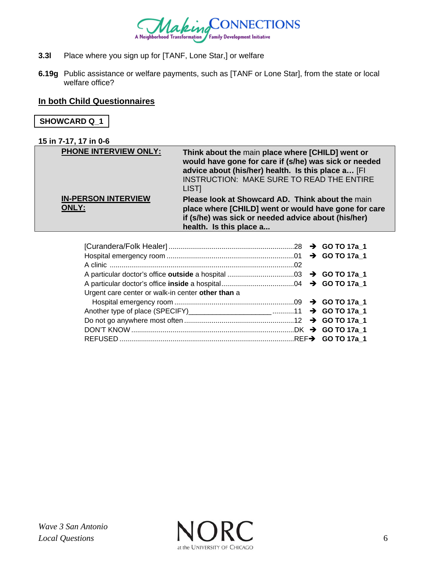

- **3.3l** Place where you sign up for [TANF, Lone Star,] or welfare
- **6.19g** Public assistance or welfare payments, such as [TANF or Lone Star], from the state or local welfare office?

### **In both Child Questionnaires**

# **SHOWCARD Q\_1**

#### **15 in 7-17, 17 in 0-6**

| <b>PHONE INTERVIEW ONLY:</b>               | Think about the main place where [CHILD] went or<br>would have gone for care if (s/he) was sick or needed<br>advice about (his/her) health. Is this place a [FI<br>INSTRUCTION: MAKE SURE TO READ THE ENTIRE<br>LIST <sub>I</sub> |
|--------------------------------------------|-----------------------------------------------------------------------------------------------------------------------------------------------------------------------------------------------------------------------------------|
| <b>IN-PERSON INTERVIEW</b><br><b>ONLY:</b> | Please look at Showcard AD. Think about the main<br>place where [CHILD] went or would have gone for care<br>if (s/he) was sick or needed advice about (his/her)<br>health. Is this place a                                        |

| Urgent care center or walk-in center other than a |  |
|---------------------------------------------------|--|
|                                                   |  |
|                                                   |  |
|                                                   |  |
|                                                   |  |
|                                                   |  |

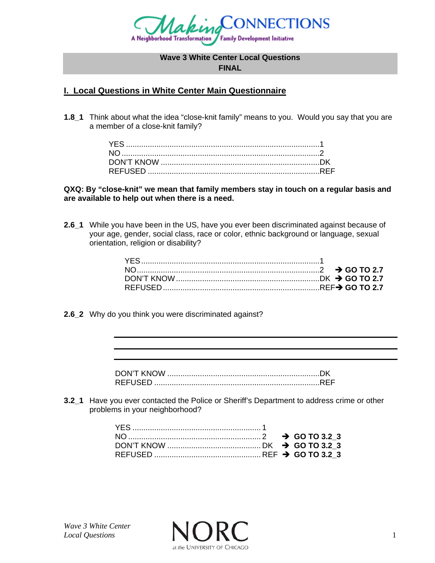

#### **Wave 3 White Center Local Questions**

**FINAL** 

# **I. Local Questions in White Center Main Questionnaire**

**1.8\_1** Think about what the idea "close-knit family" means to you. Would you say that you are a member of a close-knit family?

**QXQ: By "close-knit" we mean that family members stay in touch on a regular basis and are available to help out when there is a need.** 

**2.6\_1** While you have been in the US, have you ever been discriminated against because of your age, gender, social class, race or color, ethnic background or language, sexual orientation, religion or disability?

**2.6\_2** Why do you think you were discriminated against?

| REFUSED |  |
|---------|--|

**3.2\_1** Have you ever contacted the Police or Sheriff's Department to address crime or other problems in your neighborhood?

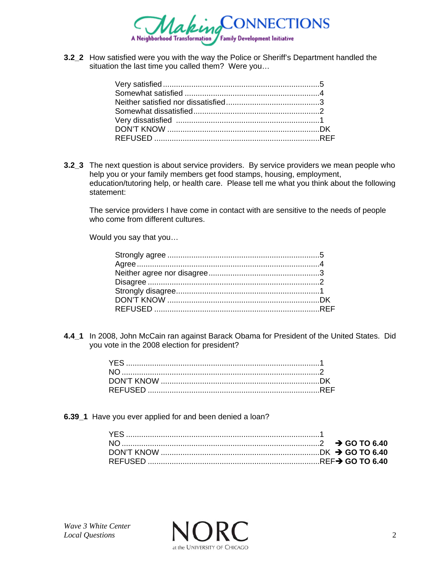

**3.2\_2** How satisfied were you with the way the Police or Sheriff's Department handled the situation the last time you called them? Were you…

**3.2\_3** The next question is about service providers. By service providers we mean people who help you or your family members get food stamps, housing, employment, education/tutoring help, or health care. Please tell me what you think about the following statement:

 The service providers I have come in contact with are sensitive to the needs of people who come from different cultures.

Would you say that you…

**4.4\_1** In 2008, John McCain ran against Barack Obama for President of the United States. Did you vote in the 2008 election for president?

**6.39 1** Have you ever applied for and been denied a loan?

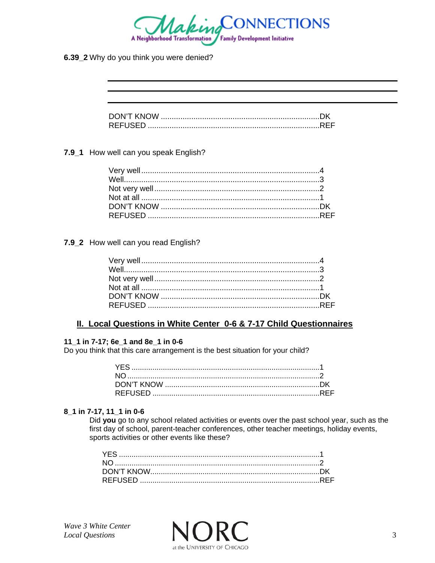

6.39\_2 Why do you think you were denied?

| DON'T KNOW      |  |
|-----------------|--|
| <b>REFLISED</b> |  |

#### 7.9\_1 How well can you speak English?

#### 7.9\_2 How well can you read English?

### II. Local Questions in White Center 0-6 & 7-17 Child Questionnaires

#### 11\_1 in 7-17; 6e\_1 and 8e\_1 in 0-6

Do you think that this care arrangement is the best situation for your child?

#### 8\_1 in 7-17, 11\_1 in 0-6

Did you go to any school related activities or events over the past school year, such as the first day of school, parent-teacher conferences, other teacher meetings, holiday events, sports activities or other events like these?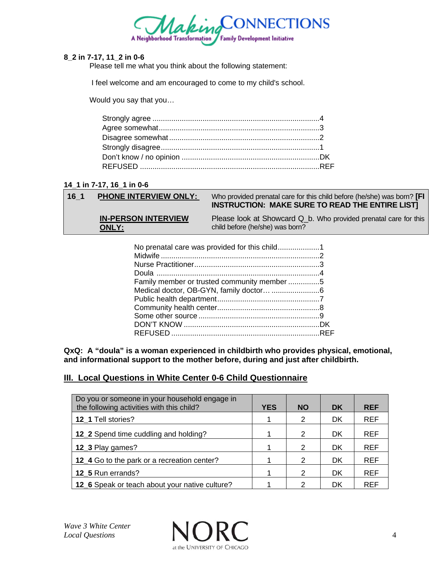

#### **8\_2 in 7-17, 11\_2 in 0-6**

Please tell me what you think about the following statement:

I feel welcome and am encouraged to come to my child's school.

Would you say that you…

#### **14\_1 in 7-17, 16\_1 in 0-6**

#### **16\_1 PHONE INTERVIEW ONLY:** Who provided prenatal care for this child before (he/she) was born? **[FI INSTRUCTION: MAKE SURE TO READ THE ENTIRE LIST]**

**IN-PERSON INTERVIEW ONLY:**

Please look at Showcard Q\_b. Who provided prenatal care for this child before (he/she) was born?

| Family member or trusted community member 5 |  |
|---------------------------------------------|--|
|                                             |  |
|                                             |  |
|                                             |  |
|                                             |  |
|                                             |  |
|                                             |  |

**QxQ: A "doula" is a woman experienced in childbirth who provides physical, emotional, and informational support to the mother before, during and just after childbirth.** 

# **III. Local Questions in White Center 0-6 Child Questionnaire**

| Do you or someone in your household engage in<br>the following activities with this child? | <b>YES</b> | <b>NO</b> | <b>DK</b> | <b>REF</b> |
|--------------------------------------------------------------------------------------------|------------|-----------|-----------|------------|
| 12 1 Tell stories?                                                                         | 1          | 2         | <b>DK</b> | <b>REF</b> |
| 12_2 Spend time cuddling and holding?                                                      |            | 2         | <b>DK</b> | <b>REF</b> |
| 12_3 Play games?                                                                           |            | 2         | DK        | <b>REF</b> |
| 12_4 Go to the park or a recreation center?                                                |            | 2         | DK        | <b>REF</b> |
| 12 5 Run errands?                                                                          |            | 2         | DK        | <b>REF</b> |
| 12_6 Speak or teach about your native culture?                                             |            | າ         | DK        | <b>REF</b> |

*Local Questions* 4 at the UNIVERSITY OF CHICAGO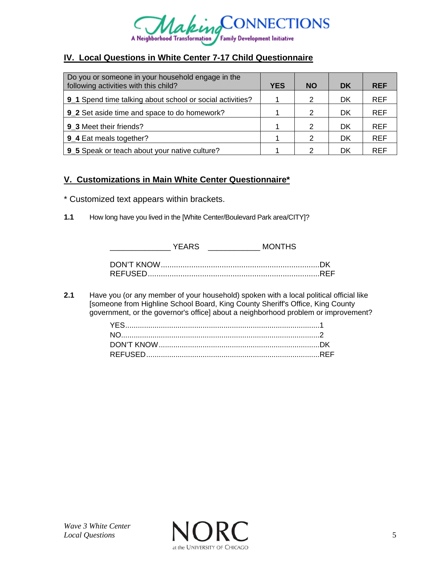

# **IV. Local Questions in White Center 7-17 Child Questionnaire**

| Do you or someone in your household engage in the<br>following activities with this child? | <b>YES</b> | <b>NO</b>     | <b>DK</b> | <b>REF</b> |
|--------------------------------------------------------------------------------------------|------------|---------------|-----------|------------|
| 9_1 Spend time talking about school or social activities?                                  |            | 2             | DK        | <b>REF</b> |
| 9 2 Set aside time and space to do homework?                                               |            | 2             | DK        | <b>REF</b> |
| 9 3 Meet their friends?                                                                    |            | $\mathcal{P}$ | DK        | <b>REF</b> |
| 9_4 Eat meals together?                                                                    |            | $\mathcal{P}$ | DK        | <b>REF</b> |
| 9_5 Speak or teach about your native culture?                                              |            | 2             | DK        | <b>REF</b> |

### **V. Customizations in Main White Center Questionnaire\***

- \* Customized text appears within brackets.
- **1.1** How long have you lived in the [White Center/Boulevard Park area/CITY]?

| YFARS | <b>MONTHS</b> |  |
|-------|---------------|--|
|       |               |  |
|       |               |  |

**2.1** Have you (or any member of your household) spoken with a local political official like [someone from Highline School Board, King County Sheriff's Office, King County government, or the governor's office] about a neighborhood problem or improvement?

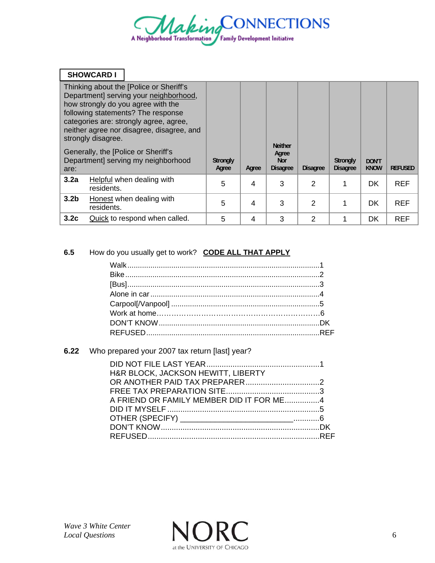

|                  | <b>SHOWCARD I</b>  |                                                                                                                                                                                                                                                      |                          |       |                                                          |                 |                                    |                             |                |
|------------------|--------------------|------------------------------------------------------------------------------------------------------------------------------------------------------------------------------------------------------------------------------------------------------|--------------------------|-------|----------------------------------------------------------|-----------------|------------------------------------|-----------------------------|----------------|
|                  | strongly disagree. | Thinking about the [Police or Sheriff's<br>Department] serving your neighborhood,<br>how strongly do you agree with the<br>following statements? The response<br>categories are: strongly agree, agree,<br>neither agree nor disagree, disagree, and |                          |       |                                                          |                 |                                    |                             |                |
| are:             |                    | Generally, the [Police or Sheriff's<br>Department] serving my neighborhood                                                                                                                                                                           | <b>Strongly</b><br>Agree | Agree | <b>Neither</b><br>Agree<br><b>Nor</b><br><b>Disagree</b> | <b>Disagree</b> | <b>Strongly</b><br><b>Disagree</b> | <b>DON'T</b><br><b>KNOW</b> | <b>REFUSED</b> |
| 3.2a             | residents.         | <b>Helpful</b> when dealing with                                                                                                                                                                                                                     | 5                        | 4     | 3                                                        | 2               |                                    | <b>DK</b>                   | <b>REF</b>     |
| 3.2 <sub>b</sub> | residents.         | Honest when dealing with                                                                                                                                                                                                                             | 5                        | 4     | 3                                                        | 2               |                                    | <b>DK</b>                   | <b>REF</b>     |
| 3.2 <sub>c</sub> |                    | Quick to respond when called.                                                                                                                                                                                                                        | 5                        | 4     | 3                                                        | 2               |                                    | <b>DK</b>                   | <b>REF</b>     |

# **6.5** How do you usually get to work? **CODE ALL THAT APPLY**

# **6.22** Who prepared your 2007 tax return [last] year?

| <b>H&amp;R BLOCK, JACKSON HEWITT, LIBERTY</b> |  |
|-----------------------------------------------|--|
|                                               |  |
|                                               |  |
| A FRIEND OR FAMILY MEMBER DID IT FOR ME4      |  |
|                                               |  |
|                                               |  |
|                                               |  |
|                                               |  |

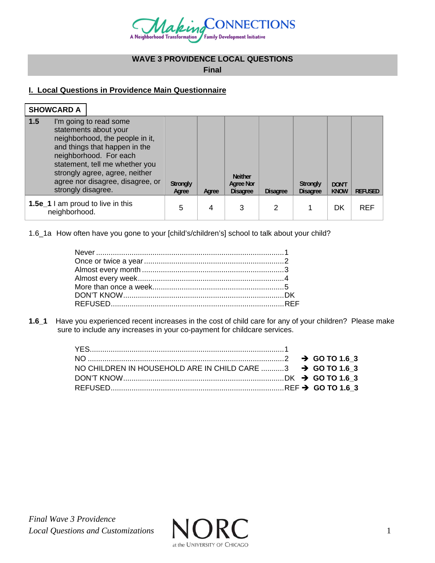

# **WAVE 3 PROVIDENCE LOCAL QUESTIONS**

**Final** 

# **I. Local Questions in Providence Main Questionnaire**

| <b>SHOWCARD A</b>                                                                                                                                                                                                                                                                          |                          |       |                                                |                 |                                    |                             |                |
|--------------------------------------------------------------------------------------------------------------------------------------------------------------------------------------------------------------------------------------------------------------------------------------------|--------------------------|-------|------------------------------------------------|-----------------|------------------------------------|-----------------------------|----------------|
| $\vert$ 1.5<br>I'm going to read some<br>statements about your<br>neighborhood, the people in it,<br>and things that happen in the<br>neighborhood. For each<br>statement, tell me whether you<br>strongly agree, agree, neither<br>agree nor disagree, disagree, or<br>strongly disagree. | <b>Strongly</b><br>Agree | Agree | <b>Neither</b><br>Agree Nor<br><b>Disagree</b> | <b>Disagree</b> | <b>Strongly</b><br><b>Disagree</b> | <b>DON'T</b><br><b>KNOW</b> | <b>REFUSED</b> |
| 1.5e_1 I am proud to live in this<br>neighborhood.                                                                                                                                                                                                                                         | 5                        | 4     | 3                                              | 2               |                                    | DK                          | <b>REF</b>     |

1.6\_1a How often have you gone to your [child's/children's] school to talk about your child?

**1.6\_1** Have you experienced recent increases in the cost of child care for any of your children? Please make sure to include any increases in your co-payment for childcare services.

| NO CHILDREN IN HOUSEHOLD ARE IN CHILD CARE 3 $\rightarrow$ GO TO 1.6 3 |  |  |
|------------------------------------------------------------------------|--|--|
|                                                                        |  |  |
|                                                                        |  |  |
|                                                                        |  |  |

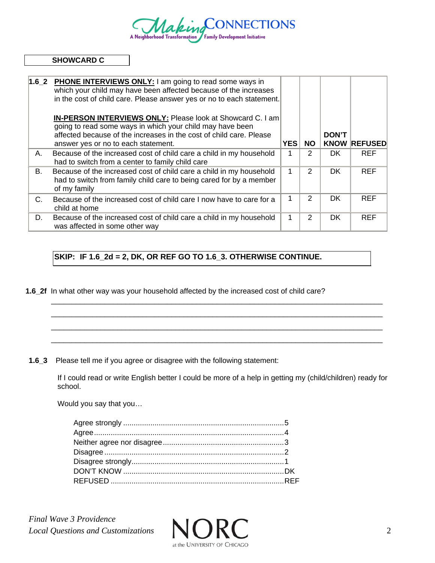

#### **SHOWCARD C**

| 1.62 | <b>PHONE INTERVIEWS ONLY:</b> I am going to read some ways in<br>which your child may have been affected because of the increases<br>in the cost of child care. Please answer yes or no to each statement.                            |            |               |              |                     |
|------|---------------------------------------------------------------------------------------------------------------------------------------------------------------------------------------------------------------------------------------|------------|---------------|--------------|---------------------|
|      | IN-PERSON INTERVIEWS ONLY: Please look at Showcard C. I am<br>going to read some ways in which your child may have been<br>affected because of the increases in the cost of child care. Please<br>answer yes or no to each statement. | <b>YES</b> | <b>NO</b>     | <b>DON'T</b> | <b>KNOW REFUSED</b> |
| А.   | Because of the increased cost of child care a child in my household<br>had to switch from a center to family child care                                                                                                               |            | 2             | DK.          | <b>REF</b>          |
| В.   | Because of the increased cost of child care a child in my household<br>had to switch from family child care to being cared for by a member<br>of my family                                                                            | 1          | $\mathcal{P}$ | DK.          | <b>REF</b>          |
| C.   | Because of the increased cost of child care I now have to care for a<br>child at home                                                                                                                                                 |            | $\mathcal{P}$ | DK.          | <b>REF</b>          |
| D.   | Because of the increased cost of child care a child in my household<br>was affected in some other way                                                                                                                                 |            | 2             | <b>DK</b>    | <b>REF</b>          |

# **SKIP: IF 1.6\_2d = 2, DK, OR REF GO TO 1.6\_3. OTHERWISE CONTINUE.**

**1.6\_2f** In what other way was your household affected by the increased cost of child care?

**1.6\_3** Please tell me if you agree or disagree with the following statement:

If I could read or write English better I could be more of a help in getting my (child/children) ready for school.

 $\Box$  $\Box$  $\Box$  $\Box$ 

Would you say that you…

*Final Wave 3 Providence Local Questions and Customizations* **NNN** 

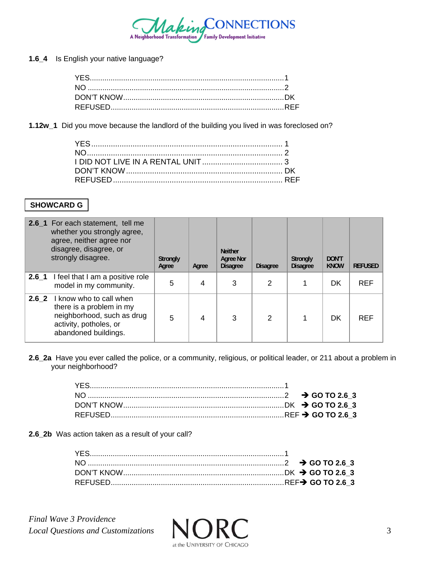

**1.6\_4** Is English your native language?

**1.12w\_1** Did you move because the landlord of the building you lived in was foreclosed on?

# **SHOWCARD G**

|                  | 2.6_1 For each statement, tell me<br>whether you strongly agree,<br>agree, neither agree nor<br>disagree, disagree, or<br>strongly disagree. | <b>Strongly</b><br>Agree | Agree | <b>Neither</b><br><b>Agree Nor</b><br><b>Disagree</b> | <b>Disagree</b> | Strongly<br><b>Disagree</b> | <b>DON'T</b><br><b>KNOW</b> | <b>REFUSED</b> |
|------------------|----------------------------------------------------------------------------------------------------------------------------------------------|--------------------------|-------|-------------------------------------------------------|-----------------|-----------------------------|-----------------------------|----------------|
| $2.6\_1$         | I feel that I am a positive role<br>model in my community.                                                                                   | 5                        | 4     | 3                                                     | 2               |                             | DK                          | <b>REF</b>     |
| 2.6 <sub>2</sub> | I know who to call when<br>there is a problem in my<br>neighborhood, such as drug<br>activity, potholes, or<br>abandoned buildings.          | 5                        | 4     | 3                                                     | 2               |                             | DK                          | <b>REF</b>     |

**2.6\_2a** Have you ever called the police, or a community, religious, or political leader, or 211 about a problem in your neighborhood?

**2.6\_2b** Was action taken as a result of your call?

*Final Wave 3 Providence Local Questions and Customizations* **NNN**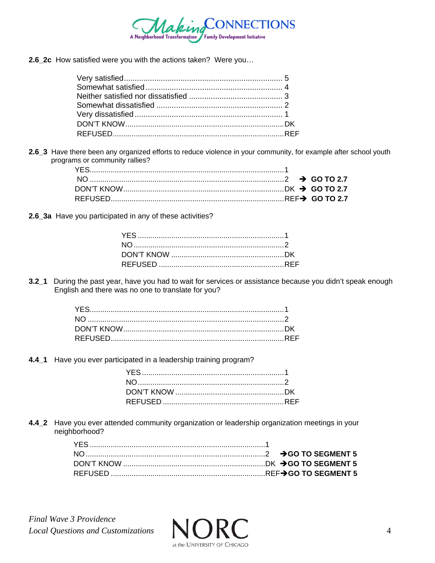

2.6 2c How satisfied were you with the actions taken? Were you...

2.6\_3 Have there been any organized efforts to reduce violence in your community, for example after school youth programs or community rallies?

2.6\_3a Have you participated in any of these activities?

3.2\_1 During the past year, have you had to wait for services or assistance because you didn't speak enough English and there was no one to translate for you?

4.4\_1 Have you ever participated in a leadership training program?

4.4\_2 Have you ever attended community organization or leadership organization meetings in your neighborhood?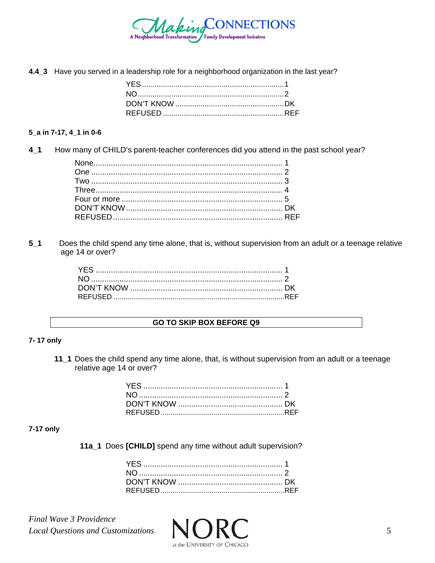

4.4\_3 Have you served in a leadership role for a neighborhood organization in the last year?

#### 5\_a in 7-17, 4\_1 in 0-6

4 1 How many of CHILD's parent-teacher conferences did you attend in the past school year?

 $5<sub>1</sub>$ Does the child spend any time alone, that is, without supervision from an adult or a teenage relative age 14 or over?

#### **GO TO SKIP BOX BEFORE Q9**

#### 7-17 only

11\_1 Does the child spend any time alone, that, is without supervision from an adult or a teenage relative age 14 or over?

#### 7-17 only

11a\_1 Does [CHILD] spend any time without adult supervision?

**Final Wave 3 Providence Local Questions and Customizations** 

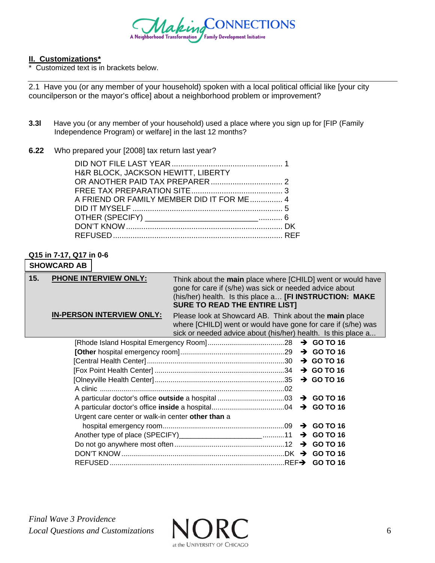

#### **II. Customizations\***

\* Customized text is in brackets below.

2.1 Have you (or any member of your household) spoken with a local political official like [your city councilperson or the mayor's office] about a neighborhood problem or improvement?

**3.3l** Have you (or any member of your household) used a place where you sign up for [FIP (Family Independence Program) or welfare] in the last 12 months?

#### **6.22** Who prepared your [2008] tax return last year?

| H&R BLOCK, JACKSON HEWITT, LIBERTY        |  |
|-------------------------------------------|--|
|                                           |  |
|                                           |  |
| A FRIEND OR FAMILY MEMBER DID IT FOR ME 4 |  |
|                                           |  |
|                                           |  |
|                                           |  |
|                                           |  |

#### **Q15 in 7-17, Q17 in 0-6**

# **SHOWCARD AB**

| 15. | <b>PHONE INTERVIEW ONLY:</b>                      | Think about the main place where [CHILD] went or would have<br>gone for care if (s/he) was sick or needed advice about<br>(his/her) health. Is this place a [FI INSTRUCTION: MAKE<br><b>SURE TO READ THE ENTIRE LIST!</b> |  |                        |
|-----|---------------------------------------------------|---------------------------------------------------------------------------------------------------------------------------------------------------------------------------------------------------------------------------|--|------------------------|
|     | <b>IN-PERSON INTERVIEW ONLY:</b>                  | Please look at Showcard AB. Think about the main place<br>where [CHILD] went or would have gone for care if (s/he) was<br>sick or needed advice about (his/her) health. Is this place a                                   |  |                        |
|     |                                                   |                                                                                                                                                                                                                           |  |                        |
|     |                                                   |                                                                                                                                                                                                                           |  |                        |
|     |                                                   |                                                                                                                                                                                                                           |  | $\rightarrow$ GO TO 16 |
|     |                                                   |                                                                                                                                                                                                                           |  | $\rightarrow$ GO TO 16 |
|     |                                                   |                                                                                                                                                                                                                           |  |                        |
|     |                                                   |                                                                                                                                                                                                                           |  |                        |
|     |                                                   |                                                                                                                                                                                                                           |  |                        |
|     |                                                   |                                                                                                                                                                                                                           |  |                        |
|     | Urgent care center or walk-in center other than a |                                                                                                                                                                                                                           |  |                        |
|     |                                                   |                                                                                                                                                                                                                           |  | $\rightarrow$ GO TO 16 |
|     |                                                   |                                                                                                                                                                                                                           |  |                        |
|     |                                                   |                                                                                                                                                                                                                           |  |                        |
|     |                                                   |                                                                                                                                                                                                                           |  |                        |
|     |                                                   |                                                                                                                                                                                                                           |  |                        |
|     |                                                   |                                                                                                                                                                                                                           |  |                        |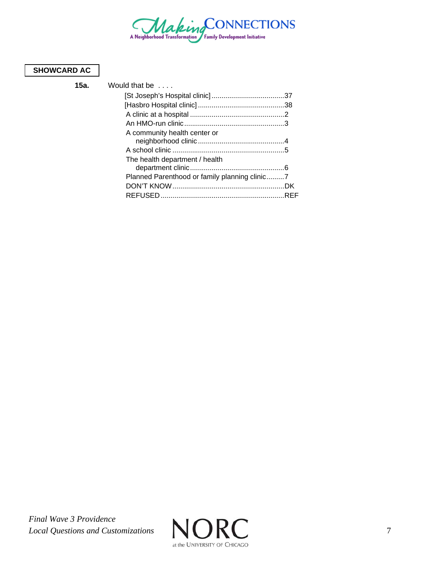

# **SHOWCARD AC**

**15a.** W

| ould that be wide                             |  |
|-----------------------------------------------|--|
|                                               |  |
|                                               |  |
|                                               |  |
|                                               |  |
| A community health center or                  |  |
|                                               |  |
|                                               |  |
| The health department / health                |  |
|                                               |  |
| Planned Parenthood or family planning clinic7 |  |
|                                               |  |
|                                               |  |
|                                               |  |

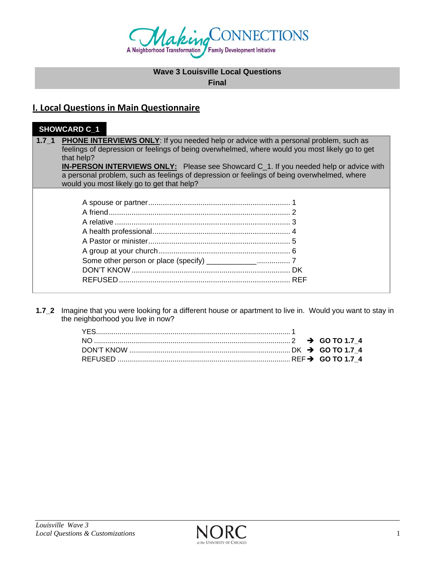

# **Wave 3 Louisville Local Questions**

**Final** 

# **I. Local Questions in Main Questionnaire**

# **SHOWCARD C\_1 1.7\_1 PHONE INTERVIEWS ONLY:** If you needed help or advice with a personal problem, such as feelings of depression or feelings of being overwhelmed, where would you most likely go to get that help? **IN-PERSON INTERVIEWS ONLY:** Please see Showcard C\_1. If you needed help or advice with a personal problem, such as feelings of depression or feelings of being overwhelmed, where would you most likely go to get that help? A spouse or partner .................................................................... 1 A friend ....................................................................................... 2 A relative .................................................................................... 3 A health professional .................................................................. 4 A Pastor or minister .................................................................... 5 A group at your church ............................................................... 6 Some other person or place (specify) \_\_\_\_\_\_\_\_\_\_\_\_ ................ 7 DON'T KNOW ............................................................................ DK REFUSED .................................................................................. REF

**1.7\_2** Imagine that you were looking for a different house or apartment to live in. Would you want to stay in the neighborhood you live in now?

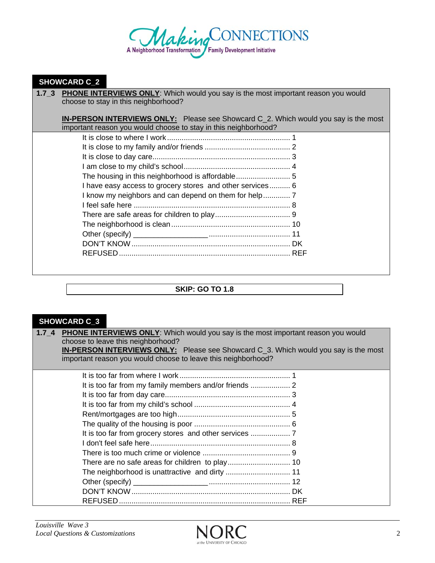

#### **SHOWCARD C\_2**

**1.7\_3 PHONE INTERVIEWS ONLY**: Which would you say is the most important reason you would choose to stay in this neighborhood?

**IN-PERSON INTERVIEWS ONLY:** Please see Showcard C\_2. Which would you say is the most important reason you would choose to stay in this neighborhood?

| I have easy access to grocery stores and other services 6 |  |
|-----------------------------------------------------------|--|
|                                                           |  |
|                                                           |  |
|                                                           |  |
|                                                           |  |
|                                                           |  |
|                                                           |  |
|                                                           |  |
|                                                           |  |

#### **SKIP: GO TO 1.8**

# **SHOWCARD C\_3**

|                                    | 1.7_4 PHONE INTERVIEWS ONLY: Which would you say is the most important reason you would |  |
|------------------------------------|-----------------------------------------------------------------------------------------|--|
| choose to leave this neighborhood? |                                                                                         |  |
|                                    |                                                                                         |  |

| <b>IN-PERSON INTERVIEWS ONLY:</b> Please see Showcard C_3. Which would you say is the most |  |
|--------------------------------------------------------------------------------------------|--|
| important reason you would choose to leave this neighborhood?                              |  |

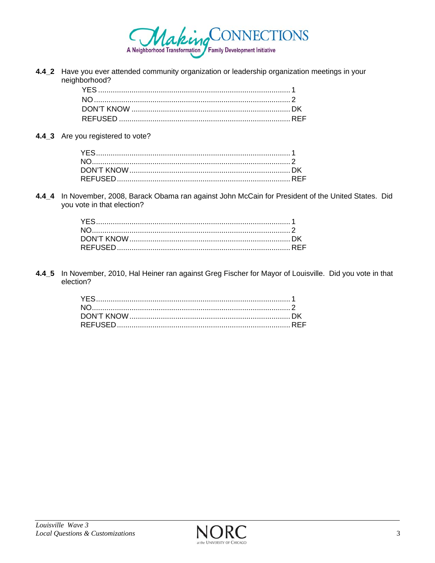

4.4\_2 Have you ever attended community organization or leadership organization meetings in your neighborhood?

4.4\_3 Are you registered to vote?

4.4\_4 In November, 2008, Barack Obama ran against John McCain for President of the United States. Did you vote in that election?

4.4\_5 In November, 2010, Hal Heiner ran against Greg Fischer for Mayor of Louisville. Did you vote in that election?

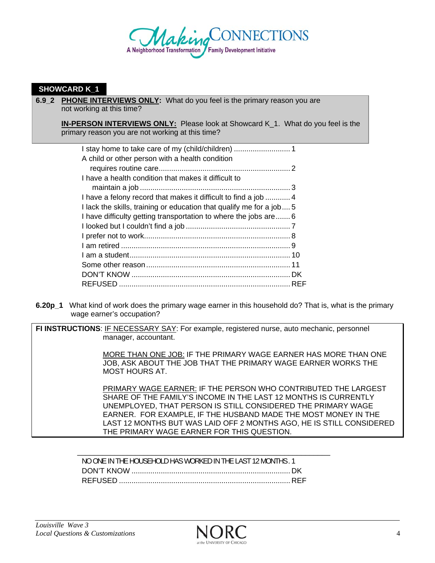

#### **SHOWCARD K\_1**

**6.9\_2 PHONE INTERVIEWS ONLY:** What do you feel is the primary reason you are not working at this time?

**IN-PERSON INTERVIEWS ONLY:** Please look at Showcard K\_1. What do you feel is the primary reason you are not working at this time?

| A child or other person with a health condition                      |  |
|----------------------------------------------------------------------|--|
|                                                                      |  |
| I have a health condition that makes it difficult to                 |  |
|                                                                      |  |
| I have a felony record that makes it difficult to find a job  4      |  |
| I lack the skills, training or education that qualify me for a job 5 |  |
| I have difficulty getting transportation to where the jobs are 6     |  |
|                                                                      |  |
|                                                                      |  |
|                                                                      |  |
|                                                                      |  |
|                                                                      |  |
|                                                                      |  |
|                                                                      |  |

**6.20p\_1** What kind of work does the primary wage earner in this household do? That is, what is the primary wage earner's occupation?

**FI INSTRUCTIONS**: IF NECESSARY SAY: For example, registered nurse, auto mechanic, personnel manager, accountant.

> MORE THAN ONE JOB: IF THE PRIMARY WAGE EARNER HAS MORE THAN ONE JOB, ASK ABOUT THE JOB THAT THE PRIMARY WAGE EARNER WORKS THE MOST HOURS AT.

 PRIMARY WAGE EARNER: IF THE PERSON WHO CONTRIBUTED THE LARGEST SHARE OF THE FAMILY'S INCOME IN THE LAST 12 MONTHS IS CURRENTLY UNEMPLOYED, THAT PERSON IS STILL CONSIDERED THE PRIMARY WAGE EARNER. FOR EXAMPLE, IF THE HUSBAND MADE THE MOST MONEY IN THE LAST 12 MONTHS BUT WAS LAID OFF 2 MONTHS AGO, HE IS STILL CONSIDERED THE PRIMARY WAGE EARNER FOR THIS QUESTION.

NO ONE IN THE HOUSEHOLD HAS WORKED IN THE LAST 12 MONTHS . 1 DON'T KNOW ............................................................................ DK REFUSED .................................................................................. REF

\_\_\_\_\_\_\_\_\_\_\_\_\_\_\_\_\_\_\_\_\_\_\_\_\_\_\_\_\_\_\_\_\_\_\_\_\_\_\_\_\_\_\_\_\_\_\_\_\_\_\_\_\_\_\_\_\_\_\_\_\_

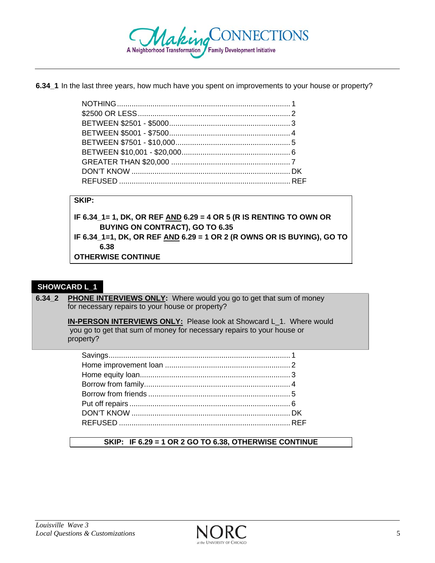

**6.34\_1** In the last three years, how much have you spent on improvements to your house or property?

#### **SKIP:**

**IF 6.34\_1= 1, DK, OR REF AND 6.29 = 4 OR 5 (R IS RENTING TO OWN OR BUYING ON CONTRACT), GO TO 6.35 IF 6.34\_1=1, DK, OR REF AND 6.29 = 1 OR 2 (R OWNS OR IS BUYING), GO TO** 

**6.38** 

**OTHERWISE CONTINUE** 

#### **SHOWCARD L\_1**

**6.34\_2 PHONE INTERVIEWS ONLY:** Where would you go to get that sum of money for necessary repairs to your house or property?

> **IN-PERSON INTERVIEWS ONLY:** Please look at Showcard L\_1. Where would you go to get that sum of money for necessary repairs to your house or property?

#### **SKIP: IF 6.29 = 1 OR 2 GO TO 6.38, OTHERWISE CONTINUE**

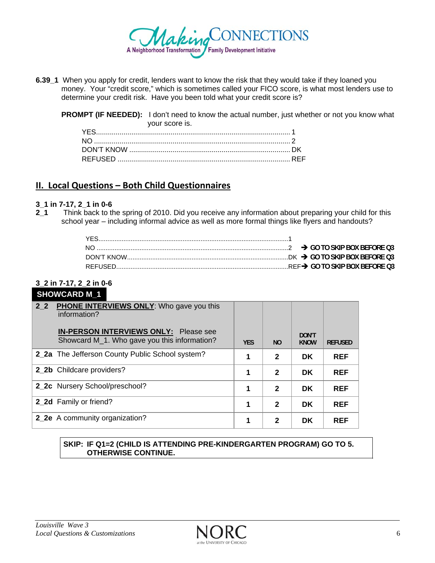

**6.39** 1 When you apply for credit, lenders want to know the risk that they would take if they loaned you money. Your "credit score," which is sometimes called your FICO score, is what most lenders use to determine your credit risk. Have you been told what your credit score is?

**PROMPT (IF NEEDED):** I don't need to know the actual number, just whether or not you know what your score is.

# **II. Local Questions – Both Child Questionnaires**

#### **3\_1 in 7-17, 2\_1 in 0-6**

**2\_1** Think back to the spring of 2010. Did you receive any information about preparing your child for this school year – including informal advice as well as more formal things like flyers and handouts?

# **3\_2 in 7-17, 2\_2 in 0-6**

# **SHOWCARD M\_1**

| $22$ | <b>PHONE INTERVIEWS ONLY:</b> Who gave you this<br>information?<br><b>IN-PERSON INTERVIEWS ONLY:</b> Please see |            |                |                      |                |
|------|-----------------------------------------------------------------------------------------------------------------|------------|----------------|----------------------|----------------|
|      | Showcard M_1. Who gave you this information?                                                                    | <b>YES</b> | N <sub>O</sub> | DON'T<br><b>KNOW</b> | <b>REFUSED</b> |
|      | 2_2a The Jefferson County Public School system?                                                                 |            | $\mathbf{2}$   | <b>DK</b>            | <b>REF</b>     |
|      | 2_2b Childcare providers?                                                                                       | 1          | $\mathbf{2}$   | <b>DK</b>            | <b>REF</b>     |
|      | 2_2c Nursery School/preschool?                                                                                  | 1          | $\mathbf{2}$   | <b>DK</b>            | <b>REF</b>     |
|      | 2_2d Family or friend?                                                                                          | 1          | $\mathbf{2}$   | <b>DK</b>            | <b>REF</b>     |
|      | 2_2e A community organization?                                                                                  | 1          | 2              | <b>DK</b>            | <b>REF</b>     |

#### **SKIP: IF Q1=2 (CHILD IS ATTENDING PRE-KINDERGARTEN PROGRAM) GO TO 5. OTHERWISE CONTINUE.**

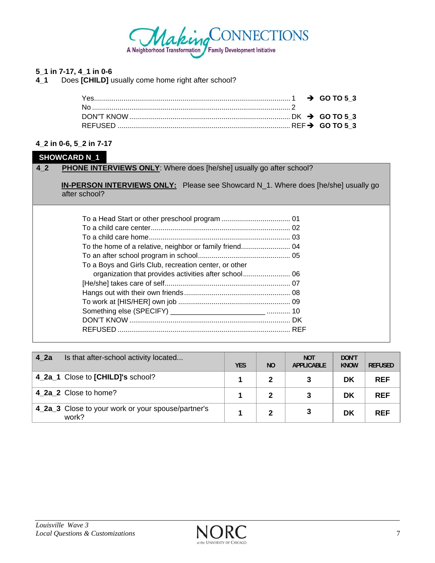

#### 5\_1 in 7-17, 4\_1 in 0-6

Does [CHILD] usually come home right after school?  $4<sub>1</sub>$ 

#### 4\_2 in 0-6, 5\_2 in 7-17

#### **SHOWCARD N\_1**

#### **PHONE INTERVIEWS ONLY:** Where does [he/she] usually go after school?  $4<sub>-</sub>2$

IN-PERSON INTERVIEWS ONLY: Please see Showcard N\_1. Where does [he/she] usually go after school?

| To a Boys and Girls Club, recreation center, or other |  |
|-------------------------------------------------------|--|
|                                                       |  |
|                                                       |  |
|                                                       |  |
|                                                       |  |
|                                                       |  |
|                                                       |  |
|                                                       |  |
|                                                       |  |

| 4 2a<br>Is that after-school activity located               | <b>YES</b> | <b>NO</b>    | <b>NOT</b><br><b>APPLICABLE</b> | DON'T<br><b>KNOW</b> | <b>REFUSED</b> |
|-------------------------------------------------------------|------------|--------------|---------------------------------|----------------------|----------------|
| 4_2a_1 Close to [CHILD]'s school?                           |            |              |                                 | DK                   | <b>REF</b>     |
| 4_2a_2 Close to home?                                       |            |              |                                 | DK                   | <b>REF</b>     |
| 4_2a_3 Close to your work or your spouse/partner's<br>work? |            | $\mathbf{2}$ |                                 | DK                   | <b>REF</b>     |

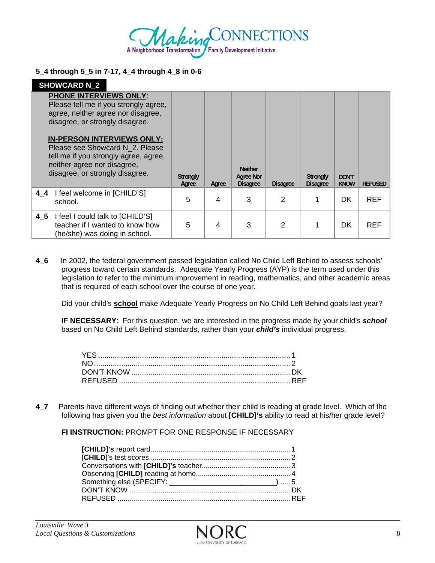

#### **5\_4 through 5\_5 in 7-17, 4\_4 through 4\_8 in 0-6**

| <b>SHOWCARD N 2</b>                                                                                                                                                             |                   |       |                                                |                 |                                    |                             |                |
|---------------------------------------------------------------------------------------------------------------------------------------------------------------------------------|-------------------|-------|------------------------------------------------|-----------------|------------------------------------|-----------------------------|----------------|
| <b>PHONE INTERVIEWS ONLY:</b><br>Please tell me if you strongly agree,<br>agree, neither agree nor disagree,<br>disagree, or strongly disagree.                                 |                   |       |                                                |                 |                                    |                             |                |
| <b>IN-PERSON INTERVIEWS ONLY:</b><br>Please see Showcard N 2. Please<br>tell me if you strongly agree, agree,<br>neither agree nor disagree,<br>disagree, or strongly disagree. | Strongly<br>Agree | Agree | <b>Neither</b><br>Agree Nor<br><b>Disagree</b> | <b>Disagree</b> | <b>Strongly</b><br><b>Disagree</b> | <b>DON'T</b><br><b>KNOW</b> | <b>REFUSED</b> |
| I feel welcome in [CHILD'S]<br>44<br>school.                                                                                                                                    | 5                 | 4     | 3                                              | 2               |                                    | <b>DK</b>                   | <b>REF</b>     |
| I feel I could talk to [CHILD'S]<br>4 5<br>teacher if I wanted to know how<br>(he/she) was doing in school.                                                                     | 5                 | 4     | 3                                              | 2               |                                    | <b>DK</b>                   | <b>REF</b>     |

**4\_6** In 2002, the federal government passed legislation called No Child Left Behind to assess schools' progress toward certain standards. Adequate Yearly Progress (AYP) is the term used under this legislation to refer to the minimum improvement in reading, mathematics, and other academic areas that is required of each school over the course of one year.

Did your child's **school** make Adequate Yearly Progress on No Child Left Behind goals last year?

**IF NECESSARY**: For this question, we are interested in the progress made by your child's *school* based on No Child Left Behind standards, rather than your *child's* individual progress.

**4\_7** Parents have different ways of finding out whether their child is reading at grade level. Which of the following has given you the *best information* about **[CHILD]'s** ability to read at his/her grade level?

**FI INSTRUCTION:** PROMPT FOR ONE RESPONSE IF NECESSARY

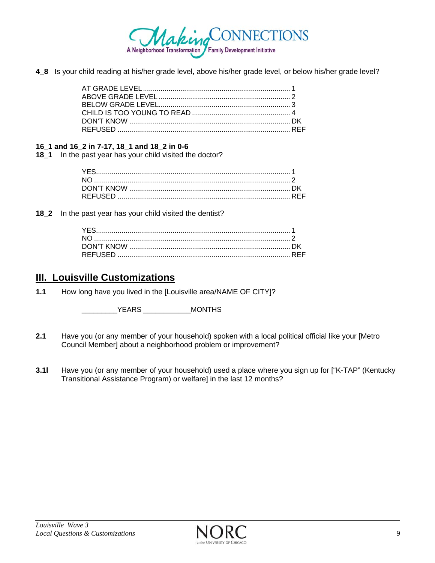

**4\_8** Is your child reading at his/her grade level, above his/her grade level, or below his/her grade level?

#### **16\_1 and 16\_2 in 7-17, 18\_1 and 18\_2 in 0-6**

**18\_1** In the past year has your child visited the doctor?

**18\_2** In the past year has your child visited the dentist?

# **III. Louisville Customizations**

**1.1** How long have you lived in the [Louisville area/NAME OF CITY]?

\_\_\_\_\_\_\_\_\_YEARS \_\_\_\_\_\_\_\_\_\_\_\_MONTHS

- **2.1** Have you (or any member of your household) spoken with a local political official like your [Metro Council Member] about a neighborhood problem or improvement?
- **3.1l** Have you (or any member of your household) used a place where you sign up for ["K-TAP" (Kentucky Transitional Assistance Program) or welfare] in the last 12 months?